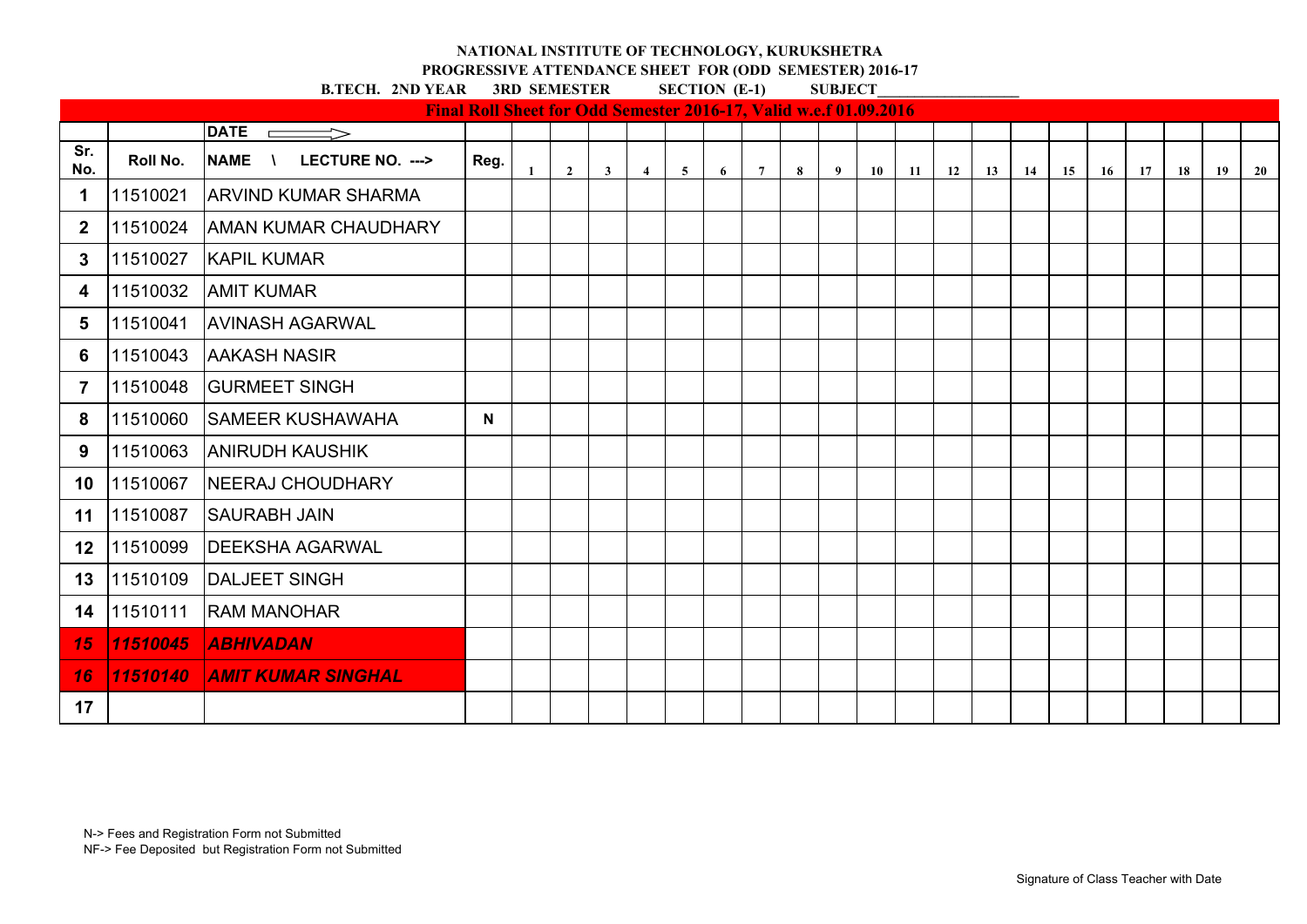**PROGRESSIVE ATTENDANCE SHEET FOR (ODD SEMESTER) 2016-17**

|                         |          |                                 | Final Roll Sheet for Odd Semester 2016-17, Valid w.e.f 01.09.2016 |                |              |                |                |   |                 |   |   |    |    |    |    |    |    |    |    |    |    |    |
|-------------------------|----------|---------------------------------|-------------------------------------------------------------------|----------------|--------------|----------------|----------------|---|-----------------|---|---|----|----|----|----|----|----|----|----|----|----|----|
|                         |          | <b>DATE</b><br>$\Rightarrow$    |                                                                   |                |              |                |                |   |                 |   |   |    |    |    |    |    |    |    |    |    |    |    |
| Sr.<br>No.              | Roll No. | LECTURE NO. ---><br><b>NAME</b> | Reg.                                                              | $\overline{2}$ | $\mathbf{3}$ | $\overline{4}$ | 5 <sup>5</sup> | 6 | $7\overline{ }$ | 8 | 9 | 10 | 11 | 12 | 13 | 14 | 15 | 16 | 17 | 18 | 19 | 20 |
| 1                       | 11510021 | <b>ARVIND KUMAR SHARMA</b>      |                                                                   |                |              |                |                |   |                 |   |   |    |    |    |    |    |    |    |    |    |    |    |
| $\boldsymbol{2}$        | 11510024 | <b>AMAN KUMAR CHAUDHARY</b>     |                                                                   |                |              |                |                |   |                 |   |   |    |    |    |    |    |    |    |    |    |    |    |
| 3                       | 11510027 | <b>KAPIL KUMAR</b>              |                                                                   |                |              |                |                |   |                 |   |   |    |    |    |    |    |    |    |    |    |    |    |
| 4                       | 11510032 | <b>AMIT KUMAR</b>               |                                                                   |                |              |                |                |   |                 |   |   |    |    |    |    |    |    |    |    |    |    |    |
| 5                       | 11510041 | <b>AVINASH AGARWAL</b>          |                                                                   |                |              |                |                |   |                 |   |   |    |    |    |    |    |    |    |    |    |    |    |
| 6                       | 11510043 | <b>AAKASH NASIR</b>             |                                                                   |                |              |                |                |   |                 |   |   |    |    |    |    |    |    |    |    |    |    |    |
| $\overline{\mathbf{7}}$ | 11510048 | <b>GURMEET SINGH</b>            |                                                                   |                |              |                |                |   |                 |   |   |    |    |    |    |    |    |    |    |    |    |    |
| 8                       | 11510060 | <b>SAMEER KUSHAWAHA</b>         | N                                                                 |                |              |                |                |   |                 |   |   |    |    |    |    |    |    |    |    |    |    |    |
| 9                       | 11510063 | <b>ANIRUDH KAUSHIK</b>          |                                                                   |                |              |                |                |   |                 |   |   |    |    |    |    |    |    |    |    |    |    |    |
| 10                      | 11510067 | <b>NEERAJ CHOUDHARY</b>         |                                                                   |                |              |                |                |   |                 |   |   |    |    |    |    |    |    |    |    |    |    |    |
| 11                      | 11510087 | <b>SAURABH JAIN</b>             |                                                                   |                |              |                |                |   |                 |   |   |    |    |    |    |    |    |    |    |    |    |    |
| 12                      | 11510099 | <b>DEEKSHA AGARWAL</b>          |                                                                   |                |              |                |                |   |                 |   |   |    |    |    |    |    |    |    |    |    |    |    |
| 13                      | 11510109 | <b>DALJEET SINGH</b>            |                                                                   |                |              |                |                |   |                 |   |   |    |    |    |    |    |    |    |    |    |    |    |
| 14                      | 11510111 | <b>RAM MANOHAR</b>              |                                                                   |                |              |                |                |   |                 |   |   |    |    |    |    |    |    |    |    |    |    |    |
| 15                      | 11510045 | <b>ABHIVADAN</b>                |                                                                   |                |              |                |                |   |                 |   |   |    |    |    |    |    |    |    |    |    |    |    |
| 16                      | 11510140 | <b>AMIT KUMAR SINGHAL</b>       |                                                                   |                |              |                |                |   |                 |   |   |    |    |    |    |    |    |    |    |    |    |    |
| 17                      |          |                                 |                                                                   |                |              |                |                |   |                 |   |   |    |    |    |    |    |    |    |    |    |    |    |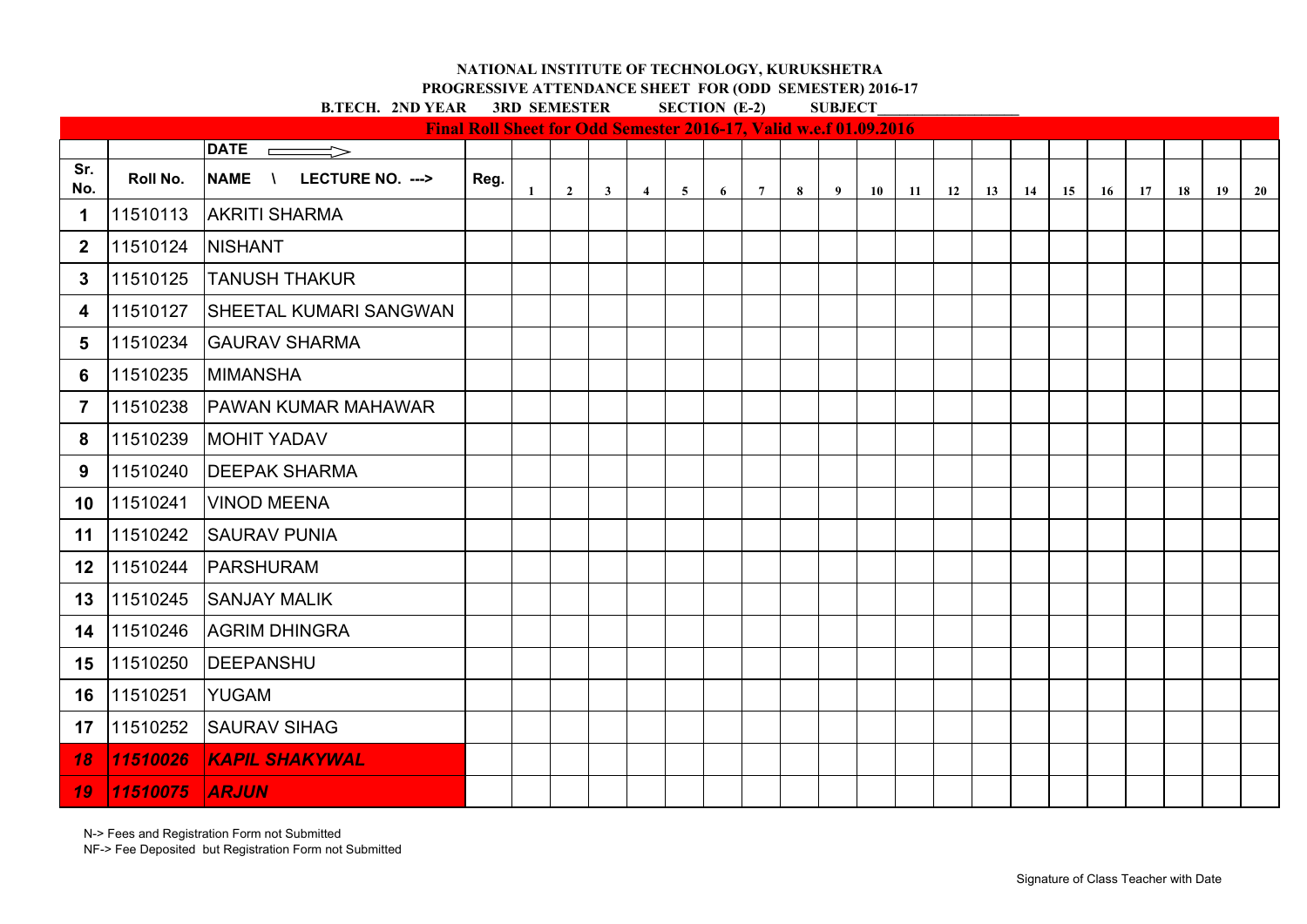**PROGRESSIVE ATTENDANCE SHEET FOR (ODD SEMESTER) 2016-17**

**B.TECH. 2ND YEAR 3RD SEMESTER SECTION (E-2) SUBJECT** 

|                         |          |                                              | <b>Final Roll Sheet for Odd Semester 2016-17, Valid w.e.f 01.09.2016</b> |              |                |              |                |                |   |                 |   |   |    |    |    |    |    |    |    |    |    |    |    |
|-------------------------|----------|----------------------------------------------|--------------------------------------------------------------------------|--------------|----------------|--------------|----------------|----------------|---|-----------------|---|---|----|----|----|----|----|----|----|----|----|----|----|
|                         |          | DATE $\rightharpoonup$                       |                                                                          |              |                |              |                |                |   |                 |   |   |    |    |    |    |    |    |    |    |    |    |    |
| Sr.<br>No.              | Roll No. | LECTURE NO. ---><br><b>NAME</b><br>$\lambda$ | Reg.                                                                     | $\mathbf{1}$ | $\overline{2}$ | $\mathbf{3}$ | $\overline{4}$ | 5 <sup>5</sup> | 6 | $7\overline{ }$ | 8 | 9 | 10 | 11 | 12 | 13 | 14 | 15 | 16 | 17 | 18 | 19 | 20 |
| 1                       | 11510113 | <b>AKRITI SHARMA</b>                         |                                                                          |              |                |              |                |                |   |                 |   |   |    |    |    |    |    |    |    |    |    |    |    |
| $\boldsymbol{2}$        | 11510124 | <b>NISHANT</b>                               |                                                                          |              |                |              |                |                |   |                 |   |   |    |    |    |    |    |    |    |    |    |    |    |
| 3                       | 11510125 | <b>TANUSH THAKUR</b>                         |                                                                          |              |                |              |                |                |   |                 |   |   |    |    |    |    |    |    |    |    |    |    |    |
| 4                       | 11510127 | <b>SHEETAL KUMARI SANGWAN</b>                |                                                                          |              |                |              |                |                |   |                 |   |   |    |    |    |    |    |    |    |    |    |    |    |
| 5                       | 11510234 | <b>GAURAV SHARMA</b>                         |                                                                          |              |                |              |                |                |   |                 |   |   |    |    |    |    |    |    |    |    |    |    |    |
| 6                       | 11510235 | <b>MIMANSHA</b>                              |                                                                          |              |                |              |                |                |   |                 |   |   |    |    |    |    |    |    |    |    |    |    |    |
| $\overline{\mathbf{7}}$ | 11510238 | <b>PAWAN KUMAR MAHAWAR</b>                   |                                                                          |              |                |              |                |                |   |                 |   |   |    |    |    |    |    |    |    |    |    |    |    |
| 8                       | 11510239 | <b>MOHIT YADAV</b>                           |                                                                          |              |                |              |                |                |   |                 |   |   |    |    |    |    |    |    |    |    |    |    |    |
| 9                       | 11510240 | <b>DEEPAK SHARMA</b>                         |                                                                          |              |                |              |                |                |   |                 |   |   |    |    |    |    |    |    |    |    |    |    |    |
| 10                      | 11510241 | <b>VINOD MEENA</b>                           |                                                                          |              |                |              |                |                |   |                 |   |   |    |    |    |    |    |    |    |    |    |    |    |
| 11                      | 11510242 | <b>SAURAV PUNIA</b>                          |                                                                          |              |                |              |                |                |   |                 |   |   |    |    |    |    |    |    |    |    |    |    |    |
| 12                      | 11510244 | <b>PARSHURAM</b>                             |                                                                          |              |                |              |                |                |   |                 |   |   |    |    |    |    |    |    |    |    |    |    |    |
| 13                      | 11510245 | <b>SANJAY MALIK</b>                          |                                                                          |              |                |              |                |                |   |                 |   |   |    |    |    |    |    |    |    |    |    |    |    |
| 14                      | 11510246 | <b>AGRIM DHINGRA</b>                         |                                                                          |              |                |              |                |                |   |                 |   |   |    |    |    |    |    |    |    |    |    |    |    |
| 15                      | 11510250 | <b>DEEPANSHU</b>                             |                                                                          |              |                |              |                |                |   |                 |   |   |    |    |    |    |    |    |    |    |    |    |    |
| 16                      | 11510251 | <b>YUGAM</b>                                 |                                                                          |              |                |              |                |                |   |                 |   |   |    |    |    |    |    |    |    |    |    |    |    |
| 17                      | 11510252 | <b>SAURAV SIHAG</b>                          |                                                                          |              |                |              |                |                |   |                 |   |   |    |    |    |    |    |    |    |    |    |    |    |
| 18                      | 11510026 | <b>KAPIL SHAKYWAL</b>                        |                                                                          |              |                |              |                |                |   |                 |   |   |    |    |    |    |    |    |    |    |    |    |    |
| 19                      | 11510075 | <b>ARJUN</b>                                 |                                                                          |              |                |              |                |                |   |                 |   |   |    |    |    |    |    |    |    |    |    |    |    |

N-> Fees and Registration Form not Submitted

NF-> Fee Deposited but Registration Form not Submitted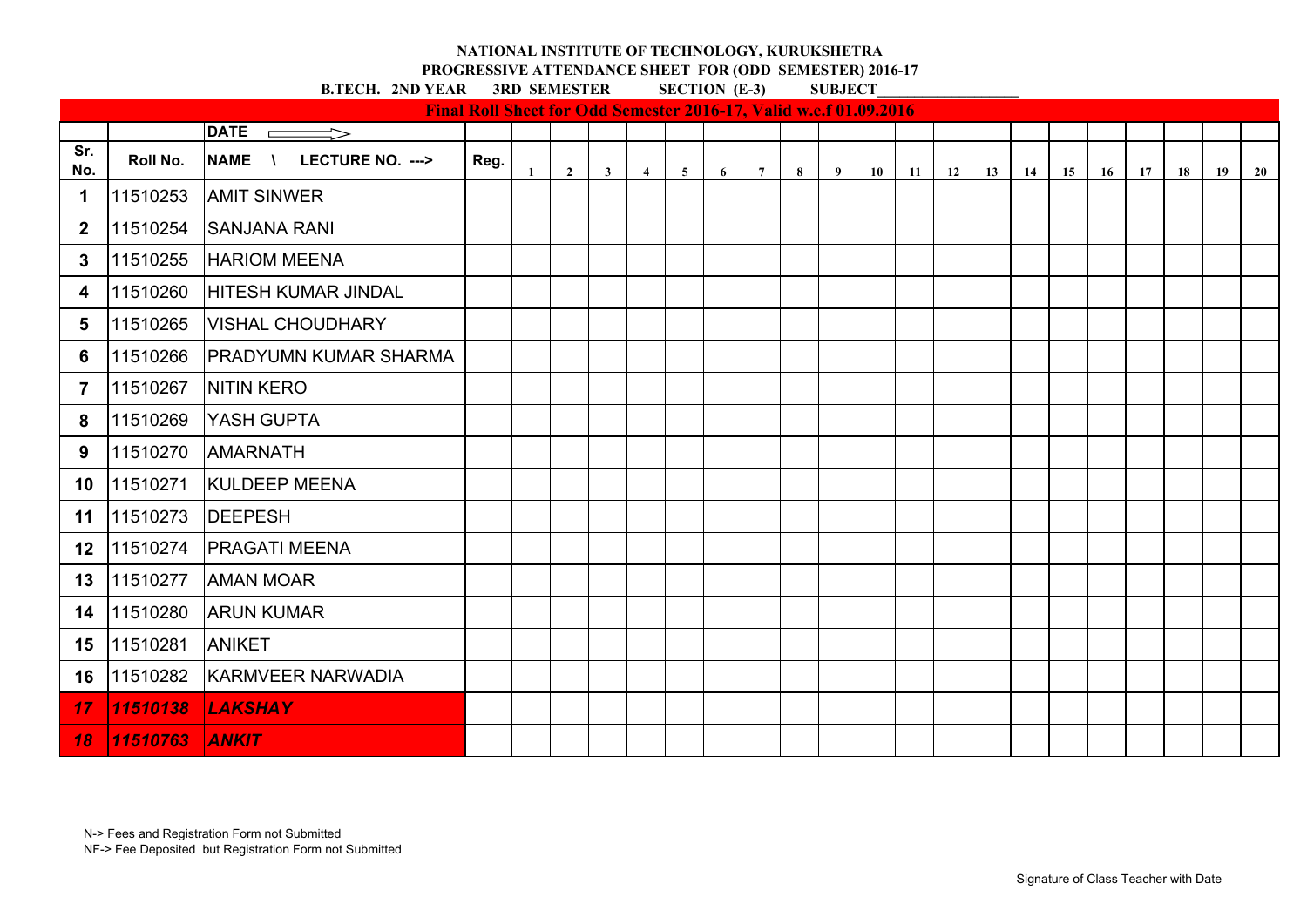**PROGRESSIVE ATTENDANCE SHEET FOR (ODD SEMESTER) 2016-17**

|                  |          |                                                  | Final Roll Sheet for Odd Semester 2016-17, Valid w.e.f 01.09.2016 |    |                |              |                |             |   |                 |   |   |    |    |    |    |    |    |           |    |    |    |           |
|------------------|----------|--------------------------------------------------|-------------------------------------------------------------------|----|----------------|--------------|----------------|-------------|---|-----------------|---|---|----|----|----|----|----|----|-----------|----|----|----|-----------|
|                  |          | $DATE$ $\qquad$<br>$\Longrightarrow$             |                                                                   |    |                |              |                |             |   |                 |   |   |    |    |    |    |    |    |           |    |    |    |           |
| Sr.<br>No.       | Roll No. | <b>NAME</b><br>LECTURE NO. ---><br>$\mathcal{L}$ | Reg.                                                              | -1 | $\overline{2}$ | $\mathbf{3}$ | $\overline{4}$ | $5^{\circ}$ | 6 | $7\overline{ }$ | 8 | 9 | 10 | 11 | 12 | 13 | 14 | 15 | <b>16</b> | 17 | 18 | 19 | <b>20</b> |
| 1                | 11510253 | <b>AMIT SINWER</b>                               |                                                                   |    |                |              |                |             |   |                 |   |   |    |    |    |    |    |    |           |    |    |    |           |
| $\boldsymbol{2}$ | 11510254 | <b>SANJANA RANI</b>                              |                                                                   |    |                |              |                |             |   |                 |   |   |    |    |    |    |    |    |           |    |    |    |           |
| 3                | 11510255 | <b>HARIOM MEENA</b>                              |                                                                   |    |                |              |                |             |   |                 |   |   |    |    |    |    |    |    |           |    |    |    |           |
| 4                | 11510260 | <b>HITESH KUMAR JINDAL</b>                       |                                                                   |    |                |              |                |             |   |                 |   |   |    |    |    |    |    |    |           |    |    |    |           |
| 5                | 11510265 | <b>VISHAL CHOUDHARY</b>                          |                                                                   |    |                |              |                |             |   |                 |   |   |    |    |    |    |    |    |           |    |    |    |           |
| 6                | 11510266 | <b>PRADYUMN KUMAR SHARMA</b>                     |                                                                   |    |                |              |                |             |   |                 |   |   |    |    |    |    |    |    |           |    |    |    |           |
| $\overline{7}$   | 11510267 | <b>NITIN KERO</b>                                |                                                                   |    |                |              |                |             |   |                 |   |   |    |    |    |    |    |    |           |    |    |    |           |
| 8                | 11510269 | <b>YASH GUPTA</b>                                |                                                                   |    |                |              |                |             |   |                 |   |   |    |    |    |    |    |    |           |    |    |    |           |
| 9                | 11510270 | <b>AMARNATH</b>                                  |                                                                   |    |                |              |                |             |   |                 |   |   |    |    |    |    |    |    |           |    |    |    |           |
| 10               | 11510271 | <b>KULDEEP MEENA</b>                             |                                                                   |    |                |              |                |             |   |                 |   |   |    |    |    |    |    |    |           |    |    |    |           |
| 11               | 11510273 | <b>DEEPESH</b>                                   |                                                                   |    |                |              |                |             |   |                 |   |   |    |    |    |    |    |    |           |    |    |    |           |
| 12               | 11510274 | <b>PRAGATI MEENA</b>                             |                                                                   |    |                |              |                |             |   |                 |   |   |    |    |    |    |    |    |           |    |    |    |           |
| 13               | 11510277 | <b>AMAN MOAR</b>                                 |                                                                   |    |                |              |                |             |   |                 |   |   |    |    |    |    |    |    |           |    |    |    |           |
| 14               | 11510280 | <b>ARUN KUMAR</b>                                |                                                                   |    |                |              |                |             |   |                 |   |   |    |    |    |    |    |    |           |    |    |    |           |
| 15               | 11510281 | <b>ANIKET</b>                                    |                                                                   |    |                |              |                |             |   |                 |   |   |    |    |    |    |    |    |           |    |    |    |           |
| 16               | 11510282 | <b>KARMVEER NARWADIA</b>                         |                                                                   |    |                |              |                |             |   |                 |   |   |    |    |    |    |    |    |           |    |    |    |           |
| 17               | 11510138 | <b>LAKSHAY</b>                                   |                                                                   |    |                |              |                |             |   |                 |   |   |    |    |    |    |    |    |           |    |    |    |           |
| 18               | 11510763 | <b>ANKIT</b>                                     |                                                                   |    |                |              |                |             |   |                 |   |   |    |    |    |    |    |    |           |    |    |    |           |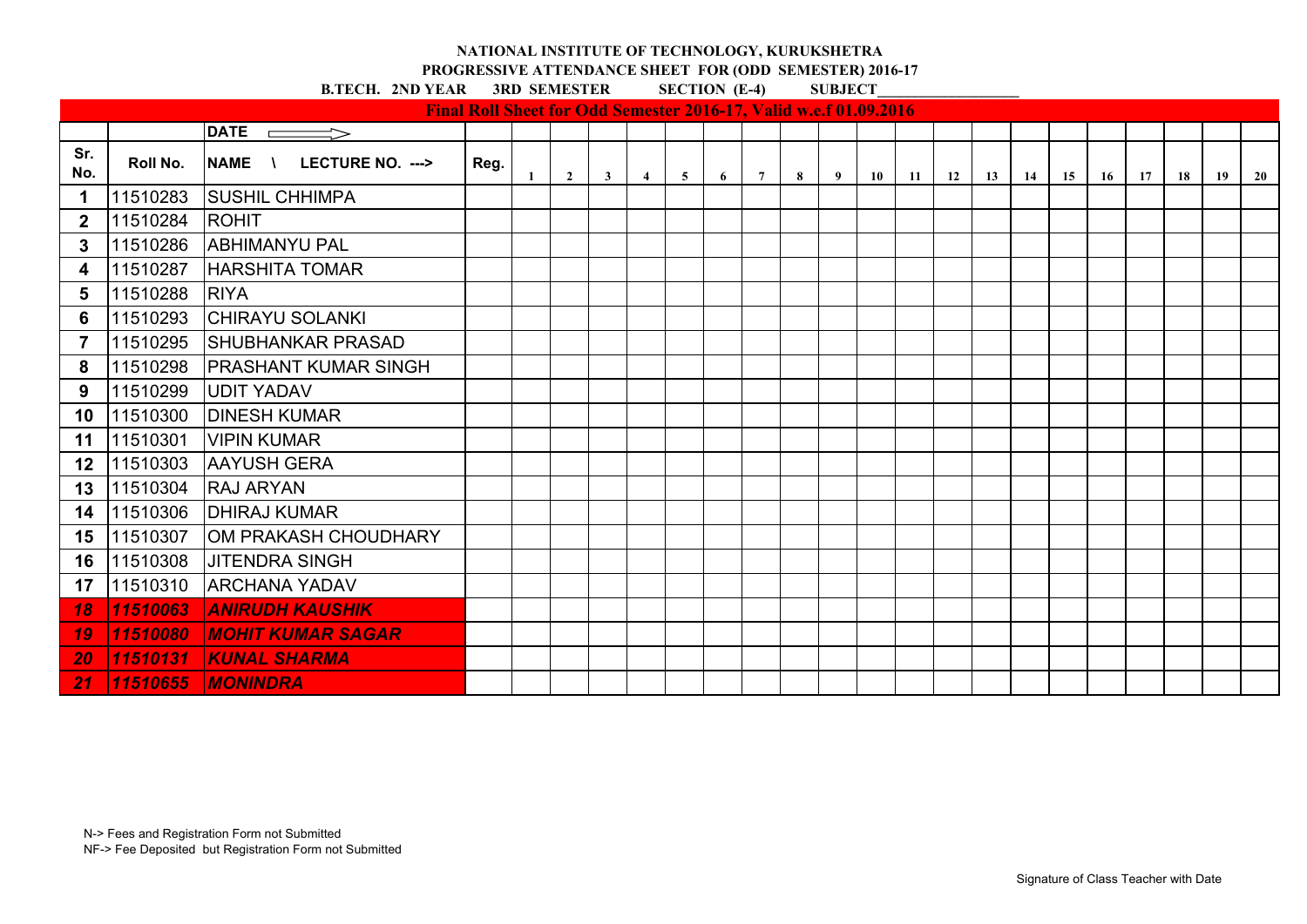**PROGRESSIVE ATTENDANCE SHEET FOR (ODD SEMESTER) 2016-17**

|                  |          |                                                  | <b>Final Roll Sheet for Odd Semester 2016-17, Valid w.e.f 01.09.2016</b> |              |                |                         |                |   |   |                 |   |   |    |    |    |    |    |    |    |    |    |    |    |
|------------------|----------|--------------------------------------------------|--------------------------------------------------------------------------|--------------|----------------|-------------------------|----------------|---|---|-----------------|---|---|----|----|----|----|----|----|----|----|----|----|----|
|                  |          | <b>DATE</b><br>$\qquad \qquad \Longrightarrow$   |                                                                          |              |                |                         |                |   |   |                 |   |   |    |    |    |    |    |    |    |    |    |    |    |
| Sr.<br>No.       | Roll No. | <b>NAME</b><br>LECTURE NO. ---><br>$\mathcal{L}$ | Reg.                                                                     | $\mathbf{1}$ | $\overline{2}$ | $\overline{\mathbf{3}}$ | $\overline{4}$ | 5 | 6 | $7\overline{ }$ | 8 | 9 | 10 | 11 | 12 | 13 | 14 | 15 | 16 | 17 | 18 | 19 | 20 |
| 1                | 11510283 | <b>SUSHIL CHHIMPA</b>                            |                                                                          |              |                |                         |                |   |   |                 |   |   |    |    |    |    |    |    |    |    |    |    |    |
| $\boldsymbol{2}$ | 11510284 | <b>ROHIT</b>                                     |                                                                          |              |                |                         |                |   |   |                 |   |   |    |    |    |    |    |    |    |    |    |    |    |
| 3                | 11510286 | <b>ABHIMANYU PAL</b>                             |                                                                          |              |                |                         |                |   |   |                 |   |   |    |    |    |    |    |    |    |    |    |    |    |
| 4                | 11510287 | <b>HARSHITA TOMAR</b>                            |                                                                          |              |                |                         |                |   |   |                 |   |   |    |    |    |    |    |    |    |    |    |    |    |
| 5                | 11510288 | <b>RIYA</b>                                      |                                                                          |              |                |                         |                |   |   |                 |   |   |    |    |    |    |    |    |    |    |    |    |    |
| 6                | 11510293 | <b>CHIRAYU SOLANKI</b>                           |                                                                          |              |                |                         |                |   |   |                 |   |   |    |    |    |    |    |    |    |    |    |    |    |
| 7                | 11510295 | <b>SHUBHANKAR PRASAD</b>                         |                                                                          |              |                |                         |                |   |   |                 |   |   |    |    |    |    |    |    |    |    |    |    |    |
| 8                | 11510298 | <b>PRASHANT KUMAR SINGH</b>                      |                                                                          |              |                |                         |                |   |   |                 |   |   |    |    |    |    |    |    |    |    |    |    |    |
| 9                | 11510299 | <b>UDIT YADAV</b>                                |                                                                          |              |                |                         |                |   |   |                 |   |   |    |    |    |    |    |    |    |    |    |    |    |
| 10               | 11510300 | <b>DINESH KUMAR</b>                              |                                                                          |              |                |                         |                |   |   |                 |   |   |    |    |    |    |    |    |    |    |    |    |    |
| 11               | 11510301 | <b>VIPIN KUMAR</b>                               |                                                                          |              |                |                         |                |   |   |                 |   |   |    |    |    |    |    |    |    |    |    |    |    |
| 12               | 11510303 | <b>AAYUSH GERA</b>                               |                                                                          |              |                |                         |                |   |   |                 |   |   |    |    |    |    |    |    |    |    |    |    |    |
| 13               | 11510304 | <b>RAJ ARYAN</b>                                 |                                                                          |              |                |                         |                |   |   |                 |   |   |    |    |    |    |    |    |    |    |    |    |    |
| 14               | 11510306 | <b>DHIRAJ KUMAR</b>                              |                                                                          |              |                |                         |                |   |   |                 |   |   |    |    |    |    |    |    |    |    |    |    |    |
| 15               | 11510307 | <b>OM PRAKASH CHOUDHARY</b>                      |                                                                          |              |                |                         |                |   |   |                 |   |   |    |    |    |    |    |    |    |    |    |    |    |
| 16               | 11510308 | <b>JITENDRA SINGH</b>                            |                                                                          |              |                |                         |                |   |   |                 |   |   |    |    |    |    |    |    |    |    |    |    |    |
| 17               | 11510310 | <b>ARCHANA YADAV</b>                             |                                                                          |              |                |                         |                |   |   |                 |   |   |    |    |    |    |    |    |    |    |    |    |    |
| 18               | 11510063 | <b>ANIRUDH KAUSHIK</b>                           |                                                                          |              |                |                         |                |   |   |                 |   |   |    |    |    |    |    |    |    |    |    |    |    |
| 19               | 11510080 | <b>IMOHIT KUMAR SAGAR</b>                        |                                                                          |              |                |                         |                |   |   |                 |   |   |    |    |    |    |    |    |    |    |    |    |    |
| 20               | 11510131 | <b>KUNAL SHARMA</b>                              |                                                                          |              |                |                         |                |   |   |                 |   |   |    |    |    |    |    |    |    |    |    |    |    |
| 21               | 11510655 | <b>IMONINDRA</b>                                 |                                                                          |              |                |                         |                |   |   |                 |   |   |    |    |    |    |    |    |    |    |    |    |    |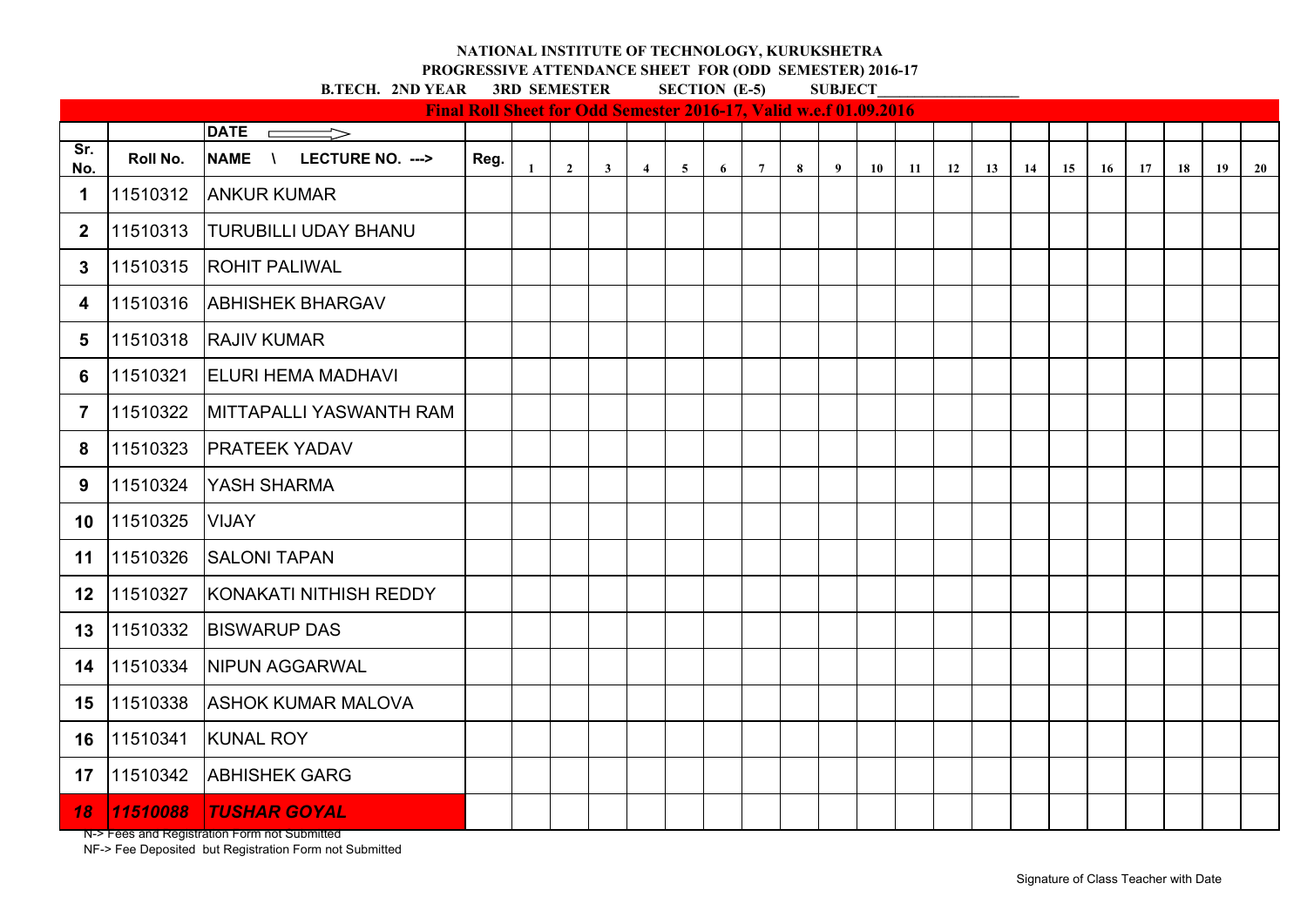**PROGRESSIVE ATTENDANCE SHEET FOR (ODD SEMESTER) 2016-17**

**B.TECH. 2ND YEAR 3RD SEMESTER SECTION (E-5)** 

|                  |          |                                                  | Final Roll Sheet for Odd Semester 2016-17, Valid w.e.f 01.09.2016 |              |                |              |                |                 |   |                 |   |   |    |    |    |    |    |    |    |    |    |    |    |
|------------------|----------|--------------------------------------------------|-------------------------------------------------------------------|--------------|----------------|--------------|----------------|-----------------|---|-----------------|---|---|----|----|----|----|----|----|----|----|----|----|----|
|                  |          | <b>DATE</b><br>$\Longrightarrow$<br>$\Box$       |                                                                   |              |                |              |                |                 |   |                 |   |   |    |    |    |    |    |    |    |    |    |    |    |
| Sr.<br>No.       | Roll No. | <b>NAME</b><br>LECTURE NO. ---><br>$\mathcal{L}$ | Reg.                                                              | $\mathbf{1}$ | $\overline{2}$ | $\mathbf{3}$ | $\overline{4}$ | $5\phantom{.0}$ | 6 | $7\overline{ }$ | 8 | 9 | 10 | 11 | 12 | 13 | 14 | 15 | 16 | 17 | 18 | 19 | 20 |
| 1                | 11510312 | <b>ANKUR KUMAR</b>                               |                                                                   |              |                |              |                |                 |   |                 |   |   |    |    |    |    |    |    |    |    |    |    |    |
| $\boldsymbol{2}$ | 11510313 | <b>TURUBILLI UDAY BHANU</b>                      |                                                                   |              |                |              |                |                 |   |                 |   |   |    |    |    |    |    |    |    |    |    |    |    |
| 3                | 11510315 | <b>ROHIT PALIWAL</b>                             |                                                                   |              |                |              |                |                 |   |                 |   |   |    |    |    |    |    |    |    |    |    |    |    |
| 4                | 11510316 | <b>ABHISHEK BHARGAV</b>                          |                                                                   |              |                |              |                |                 |   |                 |   |   |    |    |    |    |    |    |    |    |    |    |    |
| 5                | 11510318 | <b>RAJIV KUMAR</b>                               |                                                                   |              |                |              |                |                 |   |                 |   |   |    |    |    |    |    |    |    |    |    |    |    |
| 6                | 11510321 | <b>ELURI HEMA MADHAVI</b>                        |                                                                   |              |                |              |                |                 |   |                 |   |   |    |    |    |    |    |    |    |    |    |    |    |
| $\overline{7}$   | 11510322 | <b>MITTAPALLI YASWANTH RAM</b>                   |                                                                   |              |                |              |                |                 |   |                 |   |   |    |    |    |    |    |    |    |    |    |    |    |
| 8                | 11510323 | <b>PRATEEK YADAV</b>                             |                                                                   |              |                |              |                |                 |   |                 |   |   |    |    |    |    |    |    |    |    |    |    |    |
| 9                | 11510324 | YASH SHARMA                                      |                                                                   |              |                |              |                |                 |   |                 |   |   |    |    |    |    |    |    |    |    |    |    |    |
| 10               | 11510325 | <b>VIJAY</b>                                     |                                                                   |              |                |              |                |                 |   |                 |   |   |    |    |    |    |    |    |    |    |    |    |    |
| 11               | 11510326 | <b>SALONI TAPAN</b>                              |                                                                   |              |                |              |                |                 |   |                 |   |   |    |    |    |    |    |    |    |    |    |    |    |
| 12               | 11510327 | KONAKATI NITHISH REDDY                           |                                                                   |              |                |              |                |                 |   |                 |   |   |    |    |    |    |    |    |    |    |    |    |    |
| 13               | 11510332 | <b>BISWARUP DAS</b>                              |                                                                   |              |                |              |                |                 |   |                 |   |   |    |    |    |    |    |    |    |    |    |    |    |
| 14               | 11510334 | <b>NIPUN AGGARWAL</b>                            |                                                                   |              |                |              |                |                 |   |                 |   |   |    |    |    |    |    |    |    |    |    |    |    |
| 15               | 11510338 | <b>ASHOK KUMAR MALOVA</b>                        |                                                                   |              |                |              |                |                 |   |                 |   |   |    |    |    |    |    |    |    |    |    |    |    |
| 16               | 11510341 | <b>KUNAL ROY</b>                                 |                                                                   |              |                |              |                |                 |   |                 |   |   |    |    |    |    |    |    |    |    |    |    |    |
| 17               | 11510342 | <b>ABHISHEK GARG</b>                             |                                                                   |              |                |              |                |                 |   |                 |   |   |    |    |    |    |    |    |    |    |    |    |    |
| <b>18</b>        | 11510088 | <b>TUSHAR GOYAL</b>                              |                                                                   |              |                |              |                |                 |   |                 |   |   |    |    |    |    |    |    |    |    |    |    |    |

N-> Fees and Registration Form not Submitted

NF-> Fee Deposited but Registration Form not Submitted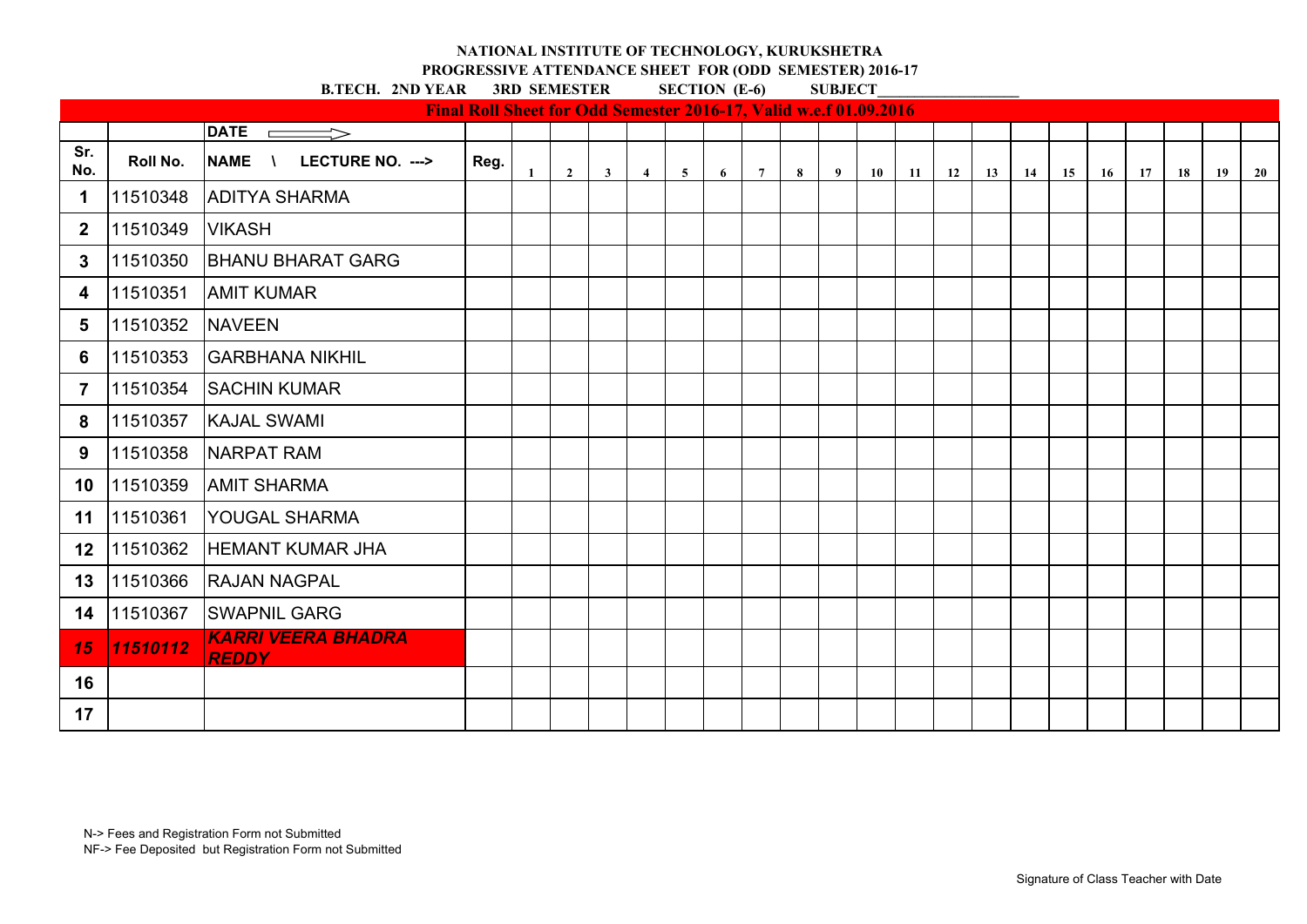**PROGRESSIVE ATTENDANCE SHEET FOR (ODD SEMESTER) 2016-17**<br>**PEAR** 3RD SEMESTER SECTION (E-6) SUBJECT

|              |          |                                                  | Final Roll Sheet for Odd Semester 2016-17, Valid w.e.f 01.09.2016 |              |                |              |                |                |   |                |   |                |    |           |    |    |    |    |           |    |    |    |    |
|--------------|----------|--------------------------------------------------|-------------------------------------------------------------------|--------------|----------------|--------------|----------------|----------------|---|----------------|---|----------------|----|-----------|----|----|----|----|-----------|----|----|----|----|
|              |          | DATE $\rule{1em}{0.15mm}$                        |                                                                   |              |                |              |                |                |   |                |   |                |    |           |    |    |    |    |           |    |    |    |    |
| Sr.<br>No.   | Roll No. | <b>NAME</b><br>LECTURE NO. ---><br>$\mathcal{N}$ | Reg.                                                              | $\mathbf{1}$ | $\overline{2}$ | $\mathbf{3}$ | $\overline{4}$ | 5 <sup>5</sup> | 6 | $7\phantom{0}$ | 8 | $\overline{9}$ | 10 | <b>11</b> | 12 | 13 | 14 | 15 | <b>16</b> | 17 | 18 | 19 | 20 |
| 1            | 11510348 | <b>ADITYA SHARMA</b>                             |                                                                   |              |                |              |                |                |   |                |   |                |    |           |    |    |    |    |           |    |    |    |    |
| $\mathbf{2}$ | 11510349 | <b>VIKASH</b>                                    |                                                                   |              |                |              |                |                |   |                |   |                |    |           |    |    |    |    |           |    |    |    |    |
| 3            | 11510350 | <b>BHANU BHARAT GARG</b>                         |                                                                   |              |                |              |                |                |   |                |   |                |    |           |    |    |    |    |           |    |    |    |    |
| 4            | 11510351 | <b>AMIT KUMAR</b>                                |                                                                   |              |                |              |                |                |   |                |   |                |    |           |    |    |    |    |           |    |    |    |    |
| 5            | 11510352 | <b>NAVEEN</b>                                    |                                                                   |              |                |              |                |                |   |                |   |                |    |           |    |    |    |    |           |    |    |    |    |
| 6            | 11510353 | <b>GARBHANA NIKHIL</b>                           |                                                                   |              |                |              |                |                |   |                |   |                |    |           |    |    |    |    |           |    |    |    |    |
| 7            | 11510354 | <b>SACHIN KUMAR</b>                              |                                                                   |              |                |              |                |                |   |                |   |                |    |           |    |    |    |    |           |    |    |    |    |
| 8            | 11510357 | <b>KAJAL SWAMI</b>                               |                                                                   |              |                |              |                |                |   |                |   |                |    |           |    |    |    |    |           |    |    |    |    |
| 9            | 11510358 | NARPAT RAM                                       |                                                                   |              |                |              |                |                |   |                |   |                |    |           |    |    |    |    |           |    |    |    |    |
| 10           | 11510359 | <b>AMIT SHARMA</b>                               |                                                                   |              |                |              |                |                |   |                |   |                |    |           |    |    |    |    |           |    |    |    |    |
| 11           | 11510361 | <b>YOUGAL SHARMA</b>                             |                                                                   |              |                |              |                |                |   |                |   |                |    |           |    |    |    |    |           |    |    |    |    |
| 12           | 11510362 | <b>HEMANT KUMAR JHA</b>                          |                                                                   |              |                |              |                |                |   |                |   |                |    |           |    |    |    |    |           |    |    |    |    |
| 13           | 11510366 | <b>RAJAN NAGPAL</b>                              |                                                                   |              |                |              |                |                |   |                |   |                |    |           |    |    |    |    |           |    |    |    |    |
| 14           | 11510367 | <b>SWAPNIL GARG</b>                              |                                                                   |              |                |              |                |                |   |                |   |                |    |           |    |    |    |    |           |    |    |    |    |
| 15           | 11510112 | KARRI VEERA BHADRA<br><b>REDDY</b>               |                                                                   |              |                |              |                |                |   |                |   |                |    |           |    |    |    |    |           |    |    |    |    |
| 16           |          |                                                  |                                                                   |              |                |              |                |                |   |                |   |                |    |           |    |    |    |    |           |    |    |    |    |
| 17           |          |                                                  |                                                                   |              |                |              |                |                |   |                |   |                |    |           |    |    |    |    |           |    |    |    |    |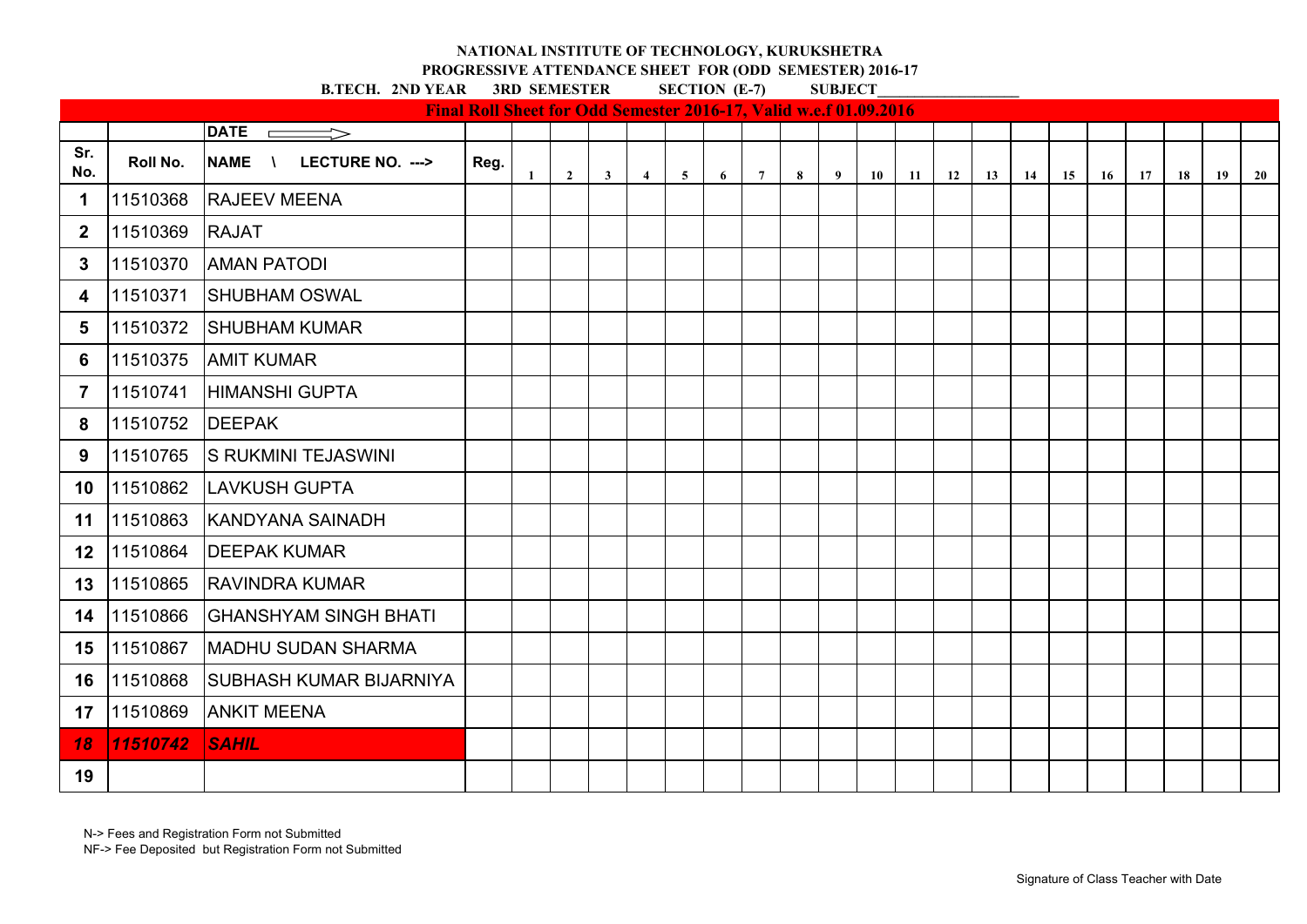# **PROGRESSIVE ATTENDANCE SHEET FOR (ODD SEMESTER) 2016-17**<br>**PYEAR** 3RD SEMESTER SECTION (E-7) SUBJECT

**B.TECH. 2ND YEAR** 

|                |          |                                              | Final Roll Sheet for Odd Semester 2016-17, Valid w.e.f 01.09.2016 |              |                |                         |                |                |   |                 |   |   |    |               |    |           |       |    |    |    |    |
|----------------|----------|----------------------------------------------|-------------------------------------------------------------------|--------------|----------------|-------------------------|----------------|----------------|---|-----------------|---|---|----|---------------|----|-----------|-------|----|----|----|----|
|                |          | <b>DATE</b><br>$\implies$                    |                                                                   |              |                |                         |                |                |   |                 |   |   |    |               |    |           |       |    |    |    |    |
| Sr.<br>No.     | Roll No. | <b>NAME</b><br>LECTURE NO. ---><br>$\Lambda$ | Reg.                                                              | $\mathbf{1}$ | $\overline{2}$ | $\overline{\mathbf{3}}$ | $\overline{4}$ | 5 <sup>5</sup> | 6 | $7\overline{ }$ | 8 | 9 | 10 | $11 \quad 12$ | 13 | <b>14</b> | 15 16 | 17 | 18 | 19 | 20 |
| $\mathbf 1$    | 11510368 | <b>RAJEEV MEENA</b>                          |                                                                   |              |                |                         |                |                |   |                 |   |   |    |               |    |           |       |    |    |    |    |
| $\mathbf 2$    | 11510369 | <b>RAJAT</b>                                 |                                                                   |              |                |                         |                |                |   |                 |   |   |    |               |    |           |       |    |    |    |    |
| 3              | 11510370 | <b>AMAN PATODI</b>                           |                                                                   |              |                |                         |                |                |   |                 |   |   |    |               |    |           |       |    |    |    |    |
| 4              | 11510371 | <b>SHUBHAM OSWAL</b>                         |                                                                   |              |                |                         |                |                |   |                 |   |   |    |               |    |           |       |    |    |    |    |
| 5              | 11510372 | <b>SHUBHAM KUMAR</b>                         |                                                                   |              |                |                         |                |                |   |                 |   |   |    |               |    |           |       |    |    |    |    |
| 6              | 11510375 | <b>AMIT KUMAR</b>                            |                                                                   |              |                |                         |                |                |   |                 |   |   |    |               |    |           |       |    |    |    |    |
| $\overline{7}$ | 11510741 | <b>HIMANSHI GUPTA</b>                        |                                                                   |              |                |                         |                |                |   |                 |   |   |    |               |    |           |       |    |    |    |    |
| 8              | 11510752 | <b>DEEPAK</b>                                |                                                                   |              |                |                         |                |                |   |                 |   |   |    |               |    |           |       |    |    |    |    |
| 9              | 11510765 | <b>S RUKMINI TEJASWINI</b>                   |                                                                   |              |                |                         |                |                |   |                 |   |   |    |               |    |           |       |    |    |    |    |
| 10             | 11510862 | LAVKUSH GUPTA                                |                                                                   |              |                |                         |                |                |   |                 |   |   |    |               |    |           |       |    |    |    |    |
| 11             | 11510863 | <b>KANDYANA SAINADH</b>                      |                                                                   |              |                |                         |                |                |   |                 |   |   |    |               |    |           |       |    |    |    |    |
| 12             | 11510864 | <b>DEEPAK KUMAR</b>                          |                                                                   |              |                |                         |                |                |   |                 |   |   |    |               |    |           |       |    |    |    |    |
| 13             | 11510865 | <b>RAVINDRA KUMAR</b>                        |                                                                   |              |                |                         |                |                |   |                 |   |   |    |               |    |           |       |    |    |    |    |
| 14             | 11510866 | <b>GHANSHYAM SINGH BHATI</b>                 |                                                                   |              |                |                         |                |                |   |                 |   |   |    |               |    |           |       |    |    |    |    |
| 15             | 11510867 | <b>MADHU SUDAN SHARMA</b>                    |                                                                   |              |                |                         |                |                |   |                 |   |   |    |               |    |           |       |    |    |    |    |
| 16             | 11510868 | <b>SUBHASH KUMAR BIJARNIYA</b>               |                                                                   |              |                |                         |                |                |   |                 |   |   |    |               |    |           |       |    |    |    |    |
| 17             | 11510869 | <b>ANKIT MEENA</b>                           |                                                                   |              |                |                         |                |                |   |                 |   |   |    |               |    |           |       |    |    |    |    |
| 18             | 11510742 | <b>SAHIL</b>                                 |                                                                   |              |                |                         |                |                |   |                 |   |   |    |               |    |           |       |    |    |    |    |
| 19             |          |                                              |                                                                   |              |                |                         |                |                |   |                 |   |   |    |               |    |           |       |    |    |    |    |

N-> Fees and Registration Form not Submitted

NF-> Fee Deposited but Registration Form not Submitted